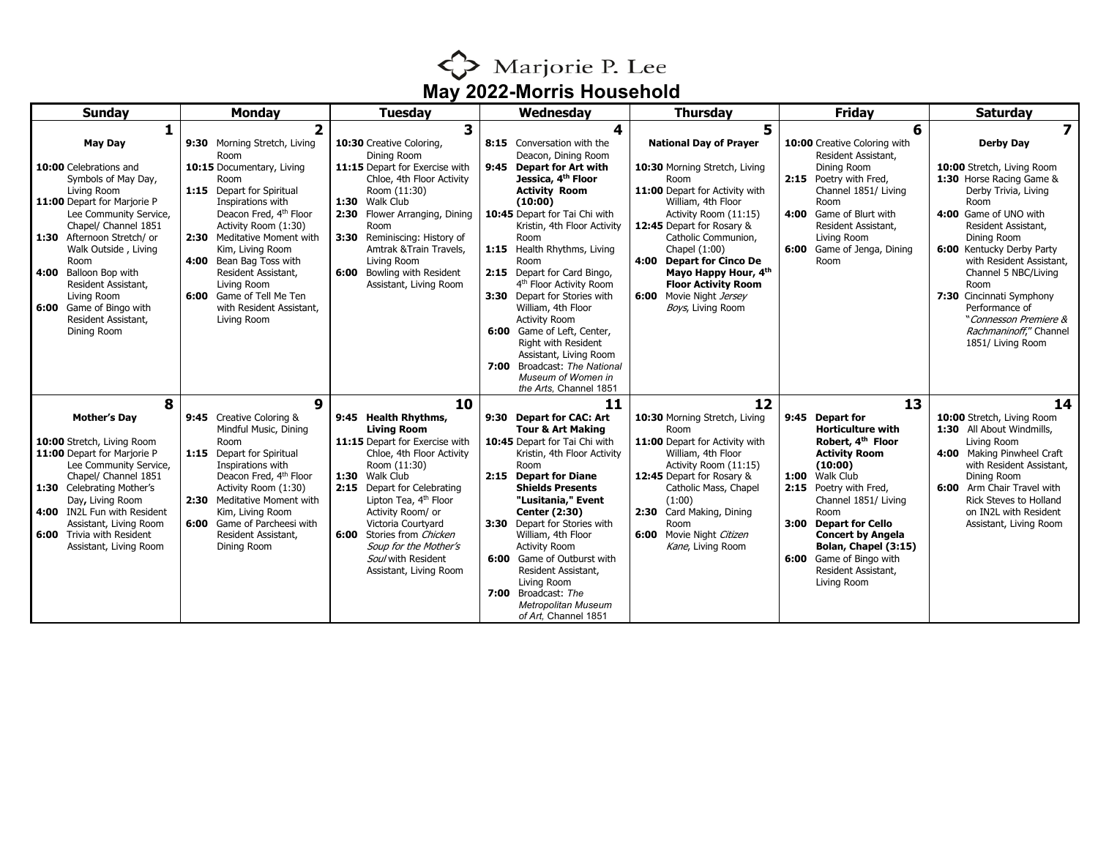

| <b>Sunday</b>                                                                                                                                                                                                                                                                                                                                                 | <b>Monday</b>                                                                                                                                                                                                                                                                                                                                                                           | <b>Tuesday</b>                                                                                                                                                                                                                                                                                                                                                   | Wednesday                                                                                                                                                                                                                                                                                                                                                                                                                                                                                                                                                  | <b>Thursday</b>                                                                                                                                                                                                                                                                                                                                                          | <b>Friday</b>                                                                                                                                                                                                                                                                                                                 | <b>Saturdav</b>                                                                                                                                                                                                                                                                                                                                                                          |
|---------------------------------------------------------------------------------------------------------------------------------------------------------------------------------------------------------------------------------------------------------------------------------------------------------------------------------------------------------------|-----------------------------------------------------------------------------------------------------------------------------------------------------------------------------------------------------------------------------------------------------------------------------------------------------------------------------------------------------------------------------------------|------------------------------------------------------------------------------------------------------------------------------------------------------------------------------------------------------------------------------------------------------------------------------------------------------------------------------------------------------------------|------------------------------------------------------------------------------------------------------------------------------------------------------------------------------------------------------------------------------------------------------------------------------------------------------------------------------------------------------------------------------------------------------------------------------------------------------------------------------------------------------------------------------------------------------------|--------------------------------------------------------------------------------------------------------------------------------------------------------------------------------------------------------------------------------------------------------------------------------------------------------------------------------------------------------------------------|-------------------------------------------------------------------------------------------------------------------------------------------------------------------------------------------------------------------------------------------------------------------------------------------------------------------------------|------------------------------------------------------------------------------------------------------------------------------------------------------------------------------------------------------------------------------------------------------------------------------------------------------------------------------------------------------------------------------------------|
| 1                                                                                                                                                                                                                                                                                                                                                             |                                                                                                                                                                                                                                                                                                                                                                                         | 3                                                                                                                                                                                                                                                                                                                                                                | 4                                                                                                                                                                                                                                                                                                                                                                                                                                                                                                                                                          | 5                                                                                                                                                                                                                                                                                                                                                                        | 6                                                                                                                                                                                                                                                                                                                             | $\overline{\mathbf{z}}$                                                                                                                                                                                                                                                                                                                                                                  |
| <b>May Day</b><br>10:00 Celebrations and<br>Symbols of May Day,<br>Living Room<br>11:00 Depart for Marjorie P<br>Lee Community Service,<br>Chapel/ Channel 1851<br>1:30 Afternoon Stretch/ or<br>Walk Outside, Living<br>Room<br>4:00 Balloon Bop with<br>Resident Assistant,<br>Living Room<br>6:00 Game of Bingo with<br>Resident Assistant,<br>Dining Room | 9:30 Morning Stretch, Living<br>Room<br>10:15 Documentary, Living<br>Room<br>1:15 Depart for Spiritual<br>Inspirations with<br>Deacon Fred, 4 <sup>th</sup> Floor<br>Activity Room (1:30)<br>2:30 Meditative Moment with<br>Kim, Living Room<br>Bean Bag Toss with<br>4:00<br>Resident Assistant,<br>Living Room<br>6:00 Game of Tell Me Ten<br>with Resident Assistant,<br>Living Room | 10:30 Creative Coloring,<br>Dining Room<br>11:15 Depart for Exercise with<br>Chloe, 4th Floor Activity<br>Room (11:30)<br>1:30 Walk Club<br>Flower Arranging, Dining<br>2:30<br>Room<br>3:30 Reminiscing: History of<br>Amtrak & Train Travels,<br>Living Room<br>6:00 Bowling with Resident<br>Assistant, Living Room                                           | 8:15 Conversation with the<br>Deacon, Dining Room<br>9:45 Depart for Art with<br>Jessica, 4 <sup>th</sup> Floor<br><b>Activity Room</b><br>(10:00)<br>10:45 Depart for Tai Chi with<br>Kristin, 4th Floor Activity<br>Room<br>1:15 Health Rhythms, Living<br>Room<br>2:15 Depart for Card Bingo,<br>4 <sup>th</sup> Floor Activity Room<br>3:30 Depart for Stories with<br>William, 4th Floor<br><b>Activity Room</b><br>6:00 Game of Left, Center,<br>Right with Resident<br>Assistant, Living Room<br>7:00 Broadcast: The National<br>Museum of Women in | <b>National Day of Prayer</b><br>10:30 Morning Stretch, Living<br>Room<br>11:00 Depart for Activity with<br>William, 4th Floor<br>Activity Room (11:15)<br>12:45 Depart for Rosary &<br>Catholic Communion,<br>Chapel (1:00)<br>4:00<br><b>Depart for Cinco De</b><br>Mayo Happy Hour, 4th<br><b>Floor Activity Room</b><br>6:00 Movie Night Jersey<br>Boys, Living Room | 10:00 Creative Coloring with<br>Resident Assistant,<br>Dining Room<br>2:15 Poetry with Fred,<br>Channel 1851/ Living<br>Room<br>4:00 Game of Blurt with<br>Resident Assistant,<br>Living Room<br>6:00 Game of Jenga, Dining<br>Room                                                                                           | <b>Derby Day</b><br>10:00 Stretch, Living Room<br>1:30 Horse Racing Game &<br>Derby Trivia, Living<br>Room<br>4:00 Game of UNO with<br>Resident Assistant,<br>Dining Room<br>6:00 Kentucky Derby Party<br>with Resident Assistant,<br>Channel 5 NBC/Living<br>Room<br>7:30 Cincinnati Symphony<br>Performance of<br>"Connesson Premiere &<br>Rachmaninoff," Channel<br>1851/ Living Room |
| 8                                                                                                                                                                                                                                                                                                                                                             | 9                                                                                                                                                                                                                                                                                                                                                                                       | 10                                                                                                                                                                                                                                                                                                                                                               | the Arts, Channel 1851<br>11                                                                                                                                                                                                                                                                                                                                                                                                                                                                                                                               | 12                                                                                                                                                                                                                                                                                                                                                                       | 13                                                                                                                                                                                                                                                                                                                            | 14                                                                                                                                                                                                                                                                                                                                                                                       |
| <b>Mother's Day</b><br>10:00 Stretch, Living Room<br>11:00 Depart for Marjorie P<br>Lee Community Service,<br>Chapel/ Channel 1851<br>1:30 Celebrating Mother's<br>Day, Living Room<br>4:00 IN2L Fun with Resident<br>Assistant, Living Room<br>6:00 Trivia with Resident<br>Assistant, Living Room                                                           | 9:45 Creative Coloring &<br>Mindful Music, Dining<br>Room<br>1:15 Depart for Spiritual<br>Inspirations with<br>Deacon Fred, 4 <sup>th</sup> Floor<br>Activity Room (1:30)<br>2:30 Meditative Moment with<br>Kim, Living Room<br>6:00 Game of Parcheesi with<br>Resident Assistant,<br>Dining Room                                                                                       | 9:45 Health Rhythms,<br><b>Living Room</b><br>11:15 Depart for Exercise with<br>Chloe, 4th Floor Activity<br>Room (11:30)<br>1:30 Walk Club<br>2:15 Depart for Celebrating<br>Lipton Tea, 4 <sup>th</sup> Floor<br>Activity Room/ or<br>Victoria Courtvard<br>6:00 Stories from Chicken<br>Soup for the Mother's<br>Soul with Resident<br>Assistant, Living Room | 9:30 Depart for CAC: Art<br><b>Tour &amp; Art Making</b><br>10:45 Depart for Tai Chi with<br>Kristin, 4th Floor Activity<br>Room<br>2:15 Depart for Diane<br><b>Shields Presents</b><br>"Lusitania," Event<br><b>Center (2:30)</b><br>3:30 Depart for Stories with<br>William, 4th Floor<br><b>Activity Room</b><br>6:00 Game of Outburst with<br>Resident Assistant,<br>Living Room<br>7:00 Broadcast: The<br><b>Metropolitan Museum</b><br>of Art, Channel 1851                                                                                          | 10:30 Morning Stretch, Living<br>Room<br>11:00 Depart for Activity with<br>William, 4th Floor<br>Activity Room (11:15)<br>12:45 Depart for Rosary &<br>Catholic Mass, Chapel<br>(1:00)<br>2:30 Card Making, Dining<br>Room<br>6:00<br>Movie Night Citizen<br>Kane, Living Room                                                                                           | 9:45 Depart for<br><b>Horticulture with</b><br>Robert, 4th Floor<br><b>Activity Room</b><br>(10:00)<br>1:00 Walk Club<br>2:15 Poetry with Fred,<br>Channel 1851/ Living<br>Room<br>3:00 Depart for Cello<br><b>Concert by Angela</b><br>Bolan, Chapel (3:15)<br>6:00 Game of Bingo with<br>Resident Assistant,<br>Living Room | 10:00 Stretch, Living Room<br>1:30 All About Windmills,<br>Living Room<br>4:00 Making Pinwheel Craft<br>with Resident Assistant,<br>Dining Room<br>6:00 Arm Chair Travel with<br><b>Rick Steves to Holland</b><br>on IN2L with Resident<br>Assistant, Living Room                                                                                                                        |